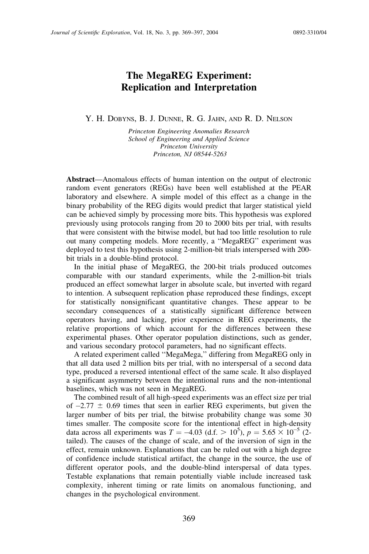# The MegaREG Experiment: Replication and Interpretation

Y. H. DOBYNS, B. J. DUNNE, R. G. JAHN, AND R. D. NELSON

Princeton Engineering Anomalies Research School of Engineering and Applied Science Princeton University Princeton, NJ 08544-5263

Abstract—Anomalous effects of human intention on the output of electronic random event generators (REGs) have been well established at the PEAR laboratory and elsewhere. A simple model of this effect as a change in the binary probability of the REG digits would predict that larger statistical yield can be achieved simply by processing more bits. This hypothesis was explored previously using protocols ranging from 20 to 2000 bits per trial, with results that were consistent with the bitwise model, but had too little resolution to rule out many competing models. More recently, a ''MegaREG'' experiment was deployed to test this hypothesis using 2-million-bit trials interspersed with 200 bit trials in a double-blind protocol.

In the initial phase of MegaREG, the 200-bit trials produced outcomes comparable with our standard experiments, while the 2-million-bit trials produced an effect somewhat larger in absolute scale, but inverted with regard to intention. A subsequent replication phase reproduced these findings, except for statistically nonsignificant quantitative changes. These appear to be secondary consequences of a statistically significant difference between operators having, and lacking, prior experience in REG experiments, the relative proportions of which account for the differences between these experimental phases. Other operator population distinctions, such as gender, and various secondary protocol parameters, had no significant effects.

A related experiment called ''MegaMega,'' differing from MegaREG only in that all data used 2 million bits per trial, with no interspersal of a second data type, produced a reversed intentional effect of the same scale. It also displayed a significant asymmetry between the intentional runs and the non-intentional baselines, which was not seen in MegaREG.

The combined result of all high-speed experiments was an effect size per trial of  $-2.77 \pm 0.69$  times that seen in earlier REG experiments, but given the larger number of bits per trial, the bitwise probability change was some 30 times smaller. The composite score for the intentional effect in high-density data across all experiments was  $T = -4.03$  (d.f.  $> 10^5$ ),  $p = 5.65 \times 10^{-5}$  (2tailed). The causes of the change of scale, and of the inversion of sign in the effect, remain unknown. Explanations that can be ruled out with a high degree of confidence include statistical artifact, the change in the source, the use of different operator pools, and the double-blind interspersal of data types. Testable explanations that remain potentially viable include increased task complexity, inherent timing or rate limits on anomalous functioning, and changes in the psychological environment.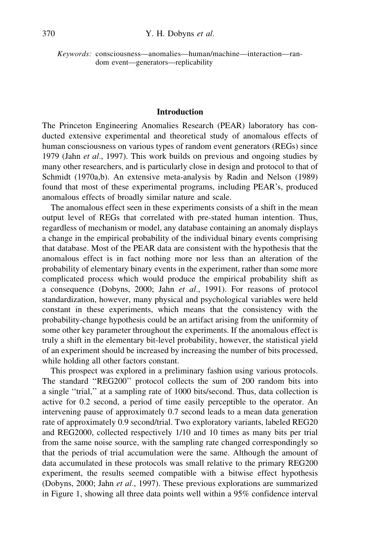Keywords: consciousness—anomalies—human/machine—interaction—random event—generators—replicability

# Introduction

The Princeton Engineering Anomalies Research (PEAR) laboratory has conducted extensive experimental and theoretical study of anomalous effects of human consciousness on various types of random event generators (REGs) since 1979 (Jahn et al., 1997). This work builds on previous and ongoing studies by many other researchers, and is particularly close in design and protocol to that of Schmidt (1970a,b). An extensive meta-analysis by Radin and Nelson (1989) found that most of these experimental programs, including PEAR's, produced anomalous effects of broadly similar nature and scale.

The anomalous effect seen in these experiments consists of a shift in the mean output level of REGs that correlated with pre-stated human intention. Thus, regardless of mechanism or model, any database containing an anomaly displays a change in the empirical probability of the individual binary events comprising that database. Most of the PEAR data are consistent with the hypothesis that the anomalous effect is in fact nothing more nor less than an alteration of the probability of elementary binary events in the experiment, rather than some more complicated process which would produce the empirical probability shift as a consequence (Dobyns, 2000; Jahn et al., 1991). For reasons of protocol standardization, however, many physical and psychological variables were held constant in these experiments, which means that the consistency with the probability-change hypothesis could be an artifact arising from the uniformity of some other key parameter throughout the experiments. If the anomalous effect is truly a shift in the elementary bit-level probability, however, the statistical yield of an experiment should be increased by increasing the number of bits processed, while holding all other factors constant.

This prospect was explored in a preliminary fashion using various protocols. The standard ''REG200'' protocol collects the sum of 200 random bits into a single ''trial,'' at a sampling rate of 1000 bits/second. Thus, data collection is active for 0.2 second, a period of time easily perceptible to the operator. An intervening pause of approximately 0.7 second leads to a mean data generation rate of approximately 0.9 second/trial. Two exploratory variants, labeled REG20 and REG2000, collected respectively 1/10 and 10 times as many bits per trial from the same noise source, with the sampling rate changed correspondingly so that the periods of trial accumulation were the same. Although the amount of data accumulated in these protocols was small relative to the primary REG200 experiment, the results seemed compatible with a bitwise effect hypothesis (Dobyns, 2000; Jahn et al., 1997). These previous explorations are summarized in Figure 1, showing all three data points well within a 95% confidence interval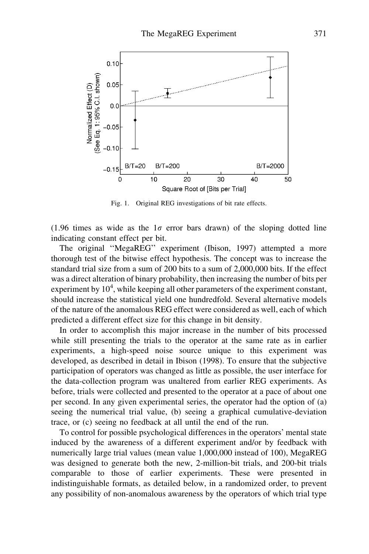

Fig. 1. Original REG investigations of bit rate effects.

(1.96 times as wide as the  $1\sigma$  error bars drawn) of the sloping dotted line indicating constant effect per bit.

The original ''MegaREG'' experiment (Ibison, 1997) attempted a more thorough test of the bitwise effect hypothesis. The concept was to increase the standard trial size from a sum of 200 bits to a sum of 2,000,000 bits. If the effect was a direct alteration of binary probability, then increasing the number of bits per experiment by  $10<sup>4</sup>$ , while keeping all other parameters of the experiment constant, should increase the statistical yield one hundredfold. Several alternative models of the nature of the anomalous REG effect were considered as well, each of which predicted a different effect size for this change in bit density.

In order to accomplish this major increase in the number of bits processed while still presenting the trials to the operator at the same rate as in earlier experiments, a high-speed noise source unique to this experiment was developed, as described in detail in Ibison (1998). To ensure that the subjective participation of operators was changed as little as possible, the user interface for the data-collection program was unaltered from earlier REG experiments. As before, trials were collected and presented to the operator at a pace of about one per second. In any given experimental series, the operator had the option of (a) seeing the numerical trial value, (b) seeing a graphical cumulative-deviation trace, or (c) seeing no feedback at all until the end of the run.

To control for possible psychological differences in the operators' mental state induced by the awareness of a different experiment and/or by feedback with numerically large trial values (mean value 1,000,000 instead of 100), MegaREG was designed to generate both the new, 2-million-bit trials, and 200-bit trials comparable to those of earlier experiments. These were presented in indistinguishable formats, as detailed below, in a randomized order, to prevent any possibility of non-anomalous awareness by the operators of which trial type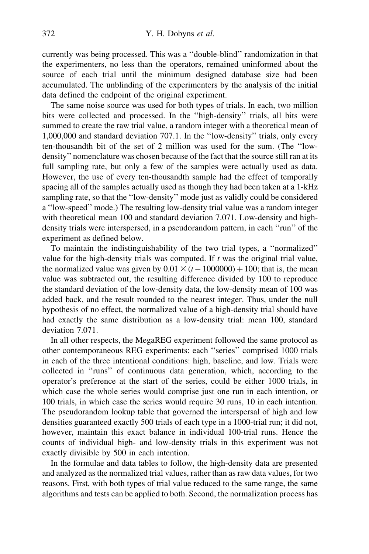currently was being processed. This was a ''double-blind'' randomization in that the experimenters, no less than the operators, remained uninformed about the source of each trial until the minimum designed database size had been accumulated. The unblinding of the experimenters by the analysis of the initial data defined the endpoint of the original experiment.

The same noise source was used for both types of trials. In each, two million bits were collected and processed. In the ''high-density'' trials, all bits were summed to create the raw trial value, a random integer with a theoretical mean of 1,000,000 and standard deviation 707.1. In the ''low-density'' trials, only every ten-thousandth bit of the set of 2 million was used for the sum. (The ''lowdensity'' nomenclature was chosen because of the fact that the source still ran at its full sampling rate, but only a few of the samples were actually used as data. However, the use of every ten-thousandth sample had the effect of temporally spacing all of the samples actually used as though they had been taken at a 1-kHz sampling rate, so that the ''low-density'' mode just as validly could be considered a ''low-speed'' mode.) The resulting low-density trial value was a random integer with theoretical mean 100 and standard deviation 7.071. Low-density and highdensity trials were interspersed, in a pseudorandom pattern, in each ''run'' of the experiment as defined below.

To maintain the indistinguishability of the two trial types, a ''normalized'' value for the high-density trials was computed. If  $t$  was the original trial value, the normalized value was given by  $0.01 \times (t - 1000000) + 100$ ; that is, the mean value was subtracted out, the resulting difference divided by 100 to reproduce the standard deviation of the low-density data, the low-density mean of 100 was added back, and the result rounded to the nearest integer. Thus, under the null hypothesis of no effect, the normalized value of a high-density trial should have had exactly the same distribution as a low-density trial: mean 100, standard deviation 7.071.

In all other respects, the MegaREG experiment followed the same protocol as other contemporaneous REG experiments: each ''series'' comprised 1000 trials in each of the three intentional conditions: high, baseline, and low. Trials were collected in ''runs'' of continuous data generation, which, according to the operator's preference at the start of the series, could be either 1000 trials, in which case the whole series would comprise just one run in each intention, or 100 trials, in which case the series would require 30 runs, 10 in each intention. The pseudorandom lookup table that governed the interspersal of high and low densities guaranteed exactly 500 trials of each type in a 1000-trial run; it did not, however, maintain this exact balance in individual 100-trial runs. Hence the counts of individual high- and low-density trials in this experiment was not exactly divisible by 500 in each intention.

In the formulae and data tables to follow, the high-density data are presented and analyzed as the normalized trial values, rather than as raw data values, for two reasons. First, with both types of trial value reduced to the same range, the same algorithms and tests can be applied to both. Second, the normalization process has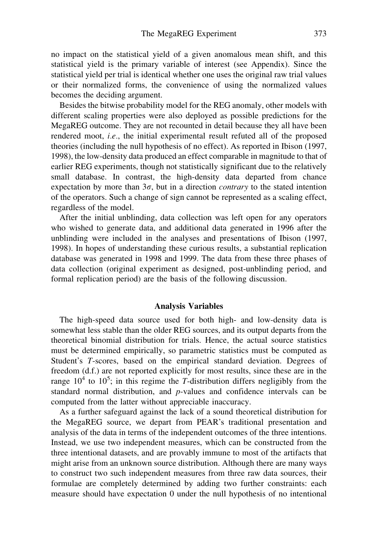no impact on the statistical yield of a given anomalous mean shift, and this statistical yield is the primary variable of interest (see Appendix). Since the statistical yield per trial is identical whether one uses the original raw trial values or their normalized forms, the convenience of using the normalized values becomes the deciding argument.

Besides the bitwise probability model for the REG anomaly, other models with different scaling properties were also deployed as possible predictions for the MegaREG outcome. They are not recounted in detail because they all have been rendered moot, i.e., the initial experimental result refuted all of the proposed theories (including the null hypothesis of no effect). As reported in Ibison (1997, 1998), the low-density data produced an effect comparable in magnitude to that of earlier REG experiments, though not statistically significant due to the relatively small database. In contrast, the high-density data departed from chance expectation by more than  $3\sigma$ , but in a direction *contrary* to the stated intention of the operators. Such a change of sign cannot be represented as a scaling effect, regardless of the model.

After the initial unblinding, data collection was left open for any operators who wished to generate data, and additional data generated in 1996 after the unblinding were included in the analyses and presentations of Ibison (1997, 1998). In hopes of understanding these curious results, a substantial replication database was generated in 1998 and 1999. The data from these three phases of data collection (original experiment as designed, post-unblinding period, and formal replication period) are the basis of the following discussion.

#### Analysis Variables

The high-speed data source used for both high- and low-density data is somewhat less stable than the older REG sources, and its output departs from the theoretical binomial distribution for trials. Hence, the actual source statistics must be determined empirically, so parametric statistics must be computed as Student's T-scores, based on the empirical standard deviation. Degrees of freedom (d.f.) are not reported explicitly for most results, since these are in the range  $10^4$  to  $10^5$ ; in this regime the T-distribution differs negligibly from the standard normal distribution, and p-values and confidence intervals can be computed from the latter without appreciable inaccuracy.

As a further safeguard against the lack of a sound theoretical distribution for the MegaREG source, we depart from PEAR's traditional presentation and analysis of the data in terms of the independent outcomes of the three intentions. Instead, we use two independent measures, which can be constructed from the three intentional datasets, and are provably immune to most of the artifacts that might arise from an unknown source distribution. Although there are many ways to construct two such independent measures from three raw data sources, their formulae are completely determined by adding two further constraints: each measure should have expectation 0 under the null hypothesis of no intentional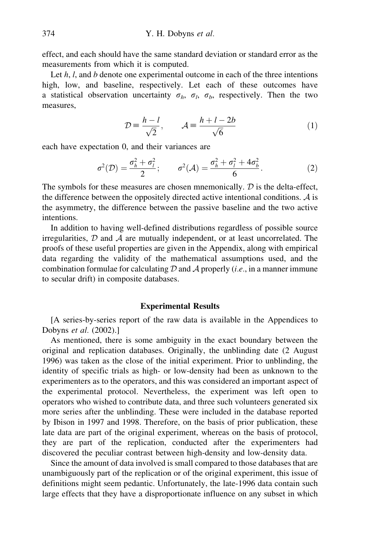effect, and each should have the same standard deviation or standard error as the measurements from which it is computed.

Let  $h, l$ , and  $b$  denote one experimental outcome in each of the three intentions high, low, and baseline, respectively. Let each of these outcomes have a statistical observation uncertainty  $\sigma_h$ ,  $\sigma_l$ ,  $\sigma_b$ , respectively. Then the two measures,

$$
\mathcal{D} = \frac{h - l}{\sqrt{2}}, \qquad \mathcal{A} = \frac{h + l - 2b}{\sqrt{6}} \tag{1}
$$

each have expectation 0, and their variances are

$$
\sigma^2(\mathcal{D}) = \frac{\sigma_h^2 + \sigma_l^2}{2}; \qquad \sigma^2(\mathcal{A}) = \frac{\sigma_h^2 + \sigma_l^2 + 4\sigma_b^2}{6}.
$$
 (2)

The symbols for these measures are chosen mnemonically.  $D$  is the delta-effect, the difference between the oppositely directed active intentional conditions.  $\mathcal A$  is the asymmetry, the difference between the passive baseline and the two active intentions.

In addition to having well-defined distributions regardless of possible source irregularities,  $D$  and  $A$  are mutually independent, or at least uncorrelated. The proofs of these useful properties are given in the Appendix, along with empirical data regarding the validity of the mathematical assumptions used, and the combination formulae for calculating  $D$  and  $A$  properly (*i.e.*, in a manner immune to secular drift) in composite databases.

#### Experimental Results

[A series-by-series report of the raw data is available in the Appendices to Dobyns et al. (2002).]

As mentioned, there is some ambiguity in the exact boundary between the original and replication databases. Originally, the unblinding date (2 August 1996) was taken as the close of the initial experiment. Prior to unblinding, the identity of specific trials as high- or low-density had been as unknown to the experimenters as to the operators, and this was considered an important aspect of the experimental protocol. Nevertheless, the experiment was left open to operators who wished to contribute data, and three such volunteers generated six more series after the unblinding. These were included in the database reported by Ibison in 1997 and 1998. Therefore, on the basis of prior publication, these late data are part of the original experiment, whereas on the basis of protocol, they are part of the replication, conducted after the experimenters had discovered the peculiar contrast between high-density and low-density data.

Since the amount of data involved is small compared to those databases that are unambiguously part of the replication or of the original experiment, this issue of definitions might seem pedantic. Unfortunately, the late-1996 data contain such large effects that they have a disproportionate influence on any subset in which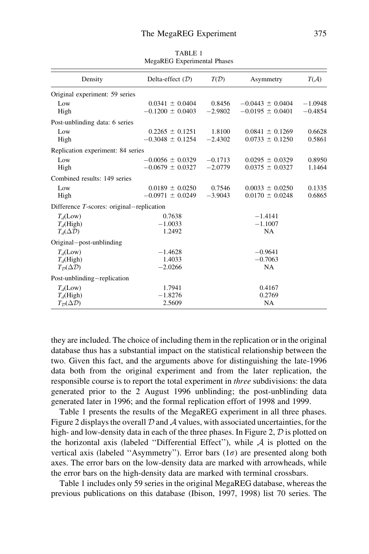| Density                                           | Delta-effect $(D)$   | T(D)      | Asymmetry            | T(A)      |
|---------------------------------------------------|----------------------|-----------|----------------------|-----------|
| Original experiment: 59 series                    |                      |           |                      |           |
| Low                                               | $0.0341 \pm 0.0404$  | 0.8456    | $-0.0443 \pm 0.0404$ | $-1.0948$ |
| High                                              | $-0.1200 \pm 0.0403$ | $-2.9802$ | $-0.0195 \pm 0.0401$ | $-0.4854$ |
| Post-unblinding data: 6 series                    |                      |           |                      |           |
| Low                                               | $0.2265 \pm 0.1251$  | 1.8100    | $0.0841 \pm 0.1269$  | 0.6628    |
| High                                              | $-0.3048 \pm 0.1254$ | $-2.4302$ | $0.0733 \pm 0.1250$  | 0.5861    |
| Replication experiment: 84 series                 |                      |           |                      |           |
| Low                                               | $-0.0056 \pm 0.0329$ | $-0.1713$ | $0.0295 \pm 0.0329$  | 0.8950    |
| High                                              | $-0.0679 \pm 0.0327$ | $-2.0779$ | $0.0375 \pm 0.0327$  | 1.1464    |
| Combined results: 149 series                      |                      |           |                      |           |
| Low                                               | $0.0189 \pm 0.0250$  | 0.7546    | $0.0033 \pm 0.0250$  | 0.1335    |
| High                                              | $-0.0971 \pm 0.0249$ | $-3.9043$ | $0.0170 \pm 0.0248$  | 0.6865    |
| Difference <i>T</i> -scores: original-replication |                      |           |                      |           |
| $T_d$ (Low)                                       | 0.7638               |           | $-1.4141$            |           |
| $T_d$ (High)                                      | $-1.0033$            |           | $-1.1007$            |           |
| $T_d(\Delta \mathcal{D})$                         | 1.2492               |           | <b>NA</b>            |           |
| Original-post-unblinding                          |                      |           |                      |           |
| $T_d$ (Low)                                       | $-1.4628$            |           | $-0.9641$            |           |
| $T_d$ (High)                                      | 1.4033               |           | $-0.7063$            |           |
| $T_{\mathcal{D}}(\Delta \mathcal{D})$             | $-2.0266$            |           | <b>NA</b>            |           |
| Post-unblinding-replication                       |                      |           |                      |           |
| $T_d$ (Low)                                       | 1.7941               |           | 0.4167               |           |
| $T_d$ (High)                                      | $-1.8276$            |           | 0.2769               |           |
| $T_{\mathcal{D}}(\Delta \mathcal{D})$             | 2.5609               |           | <b>NA</b>            |           |

TABLE 1 MegaREG Experimental Phases

they are included. The choice of including them in the replication or in the original database thus has a substantial impact on the statistical relationship between the two. Given this fact, and the arguments above for distinguishing the late-1996 data both from the original experiment and from the later replication, the responsible course is to report the total experiment in three subdivisions: the data generated prior to the 2 August 1996 unblinding; the post-unblinding data generated later in 1996; and the formal replication effort of 1998 and 1999.

Table 1 presents the results of the MegaREG experiment in all three phases. Figure 2 displays the overall  $\mathcal D$  and  $\mathcal A$  values, with associated uncertainties, for the high- and low-density data in each of the three phases. In Figure 2,  $\mathcal D$  is plotted on the horizontal axis (labeled "Differential Effect"), while  $A$  is plotted on the vertical axis (labeled "Asymmetry"). Error bars  $(1\sigma)$  are presented along both axes. The error bars on the low-density data are marked with arrowheads, while the error bars on the high-density data are marked with terminal crossbars.

Table 1 includes only 59 series in the original MegaREG database, whereas the previous publications on this database (Ibison, 1997, 1998) list 70 series. The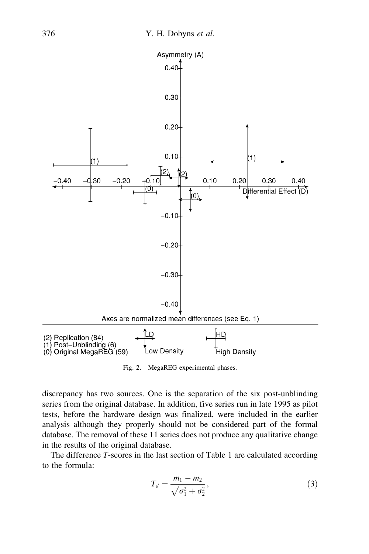

Fig. 2. MegaREG experimental phases.

discrepancy has two sources. One is the separation of the six post-unblinding series from the original database. In addition, five series run in late 1995 as pilot tests, before the hardware design was finalized, were included in the earlier analysis although they properly should not be considered part of the formal database. The removal of these 11 series does not produce any qualitative change in the results of the original database.

The difference T-scores in the last section of Table 1 are calculated according to the formula:

$$
T_d = \frac{m_1 - m_2}{\sqrt{\sigma_1^2 + \sigma_2^2}},\tag{3}
$$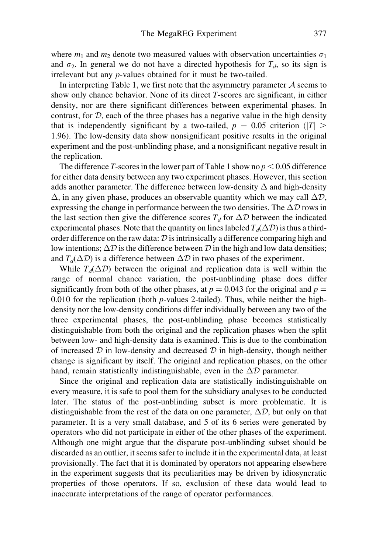where  $m_1$  and  $m_2$  denote two measured values with observation uncertainties  $\sigma_1$ and  $\sigma_2$ . In general we do not have a directed hypothesis for  $T_d$ , so its sign is irrelevant but any p-values obtained for it must be two-tailed.

In interpreting Table 1, we first note that the asymmetry parameter  $A$  seems to show only chance behavior. None of its direct T-scores are significant, in either density, nor are there significant differences between experimental phases. In contrast, for  $D$ , each of the three phases has a negative value in the high density that is independently significant by a two-tailed,  $p = 0.05$  criterion (|T| > 1.96). The low-density data show nonsignificant positive results in the original experiment and the post-unblinding phase, and a nonsignificant negative result in the replication.

The difference T-scores in the lower part of Table 1 show no  $p < 0.05$  difference for either data density between any two experiment phases. However, this section adds another parameter. The difference between low-density  $\Delta$  and high-density  $\Delta$ , in any given phase, produces an observable quantity which we may call  $\Delta \mathcal{D}$ , expressing the change in performance between the two densities. The  $\Delta D$  rows in the last section then give the difference scores  $T_d$  for  $\Delta D$  between the indicated experimental phases. Note that the quantity on lines labeled  $T_d(\Delta \mathcal{D})$  is thus a thirdorder difference on the raw data:  $D$  is intrinsically a difference comparing high and low intentions;  $\Delta \mathcal{D}$  is the difference between  $\mathcal{D}$  in the high and low data densities; and  $T_d(\Delta \mathcal{D})$  is a difference between  $\Delta \mathcal{D}$  in two phases of the experiment.

While  $T_d(\Delta \mathcal{D})$  between the original and replication data is well within the range of normal chance variation, the post-unblinding phase does differ significantly from both of the other phases, at  $p = 0.043$  for the original and  $p =$ 0.010 for the replication (both  $p$ -values 2-tailed). Thus, while neither the highdensity nor the low-density conditions differ individually between any two of the three experimental phases, the post-unblinding phase becomes statistically distinguishable from both the original and the replication phases when the split between low- and high-density data is examined. This is due to the combination of increased  $\mathcal D$  in low-density and decreased  $\mathcal D$  in high-density, though neither change is significant by itself. The original and replication phases, on the other hand, remain statistically indistinguishable, even in the  $\Delta D$  parameter.

Since the original and replication data are statistically indistinguishable on every measure, it is safe to pool them for the subsidiary analyses to be conducted later. The status of the post-unblinding subset is more problematic. It is distinguishable from the rest of the data on one parameter,  $\Delta \mathcal{D}$ , but only on that parameter. It is a very small database, and 5 of its 6 series were generated by operators who did not participate in either of the other phases of the experiment. Although one might argue that the disparate post-unblinding subset should be discarded as an outlier, it seems safer to include it in the experimental data, at least provisionally. The fact that it is dominated by operators not appearing elsewhere in the experiment suggests that its peculiarities may be driven by idiosyncratic properties of those operators. If so, exclusion of these data would lead to inaccurate interpretations of the range of operator performances.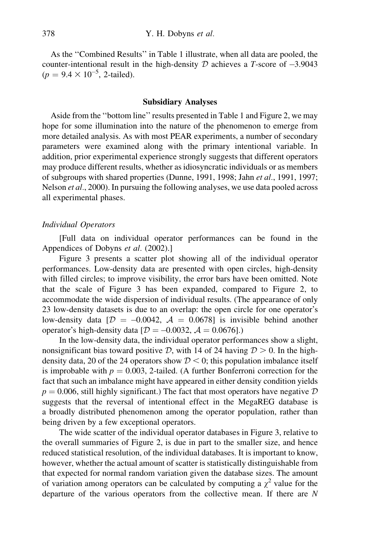As the ''Combined Results'' in Table 1 illustrate, when all data are pooled, the counter-intentional result in the high-density  $D$  achieves a T-score of  $-3.9043$  $(p = 9.4 \times 10^{-5}, 2$ -tailed).

#### Subsidiary Analyses

Aside from the ''bottom line'' results presented in Table 1 and Figure 2, we may hope for some illumination into the nature of the phenomenon to emerge from more detailed analysis. As with most PEAR experiments, a number of secondary parameters were examined along with the primary intentional variable. In addition, prior experimental experience strongly suggests that different operators may produce different results, whether as idiosyncratic individuals or as members of subgroups with shared properties (Dunne, 1991, 1998; Jahn et al., 1991, 1997; Nelson et al., 2000). In pursuing the following analyses, we use data pooled across all experimental phases.

## Individual Operators

[Full data on individual operator performances can be found in the Appendices of Dobyns et al. (2002).]

Figure 3 presents a scatter plot showing all of the individual operator performances. Low-density data are presented with open circles, high-density with filled circles; to improve visibility, the error bars have been omitted. Note that the scale of Figure 3 has been expanded, compared to Figure 2, to accommodate the wide dispersion of individual results. (The appearance of only 23 low-density datasets is due to an overlap: the open circle for one operator's low-density data  $[D = -0.0042, \, \mathcal{A} = 0.0678]$  is invisible behind another operator's high-density data  $[D = -0.0032, \mathcal{A} = 0.0676]$ .

In the low-density data, the individual operator performances show a slight, nonsignificant bias toward positive D, with 14 of 24 having  $D > 0$ . In the highdensity data, 20 of the 24 operators show  $\mathcal{D} < 0$ ; this population imbalance itself is improbable with  $p = 0.003$ , 2-tailed. (A further Bonferroni correction for the fact that such an imbalance might have appeared in either density condition yields  $p = 0.006$ , still highly significant.) The fact that most operators have negative D suggests that the reversal of intentional effect in the MegaREG database is a broadly distributed phenomenon among the operator population, rather than being driven by a few exceptional operators.

The wide scatter of the individual operator databases in Figure 3, relative to the overall summaries of Figure 2, is due in part to the smaller size, and hence reduced statistical resolution, of the individual databases. It is important to know, however, whether the actual amount of scatter is statistically distinguishable from that expected for normal random variation given the database sizes. The amount of variation among operators can be calculated by computing a  $\chi^2$  value for the departure of the various operators from the collective mean. If there are  $N$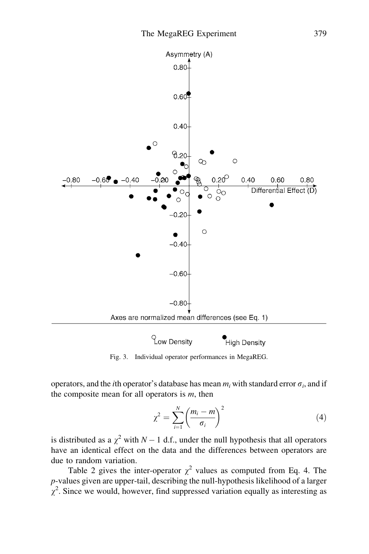

Fig. 3. Individual operator performances in MegaREG.

operators, and the *i*th operator's database has mean  $m_i$  with standard error  $\sigma_i$ , and if the composite mean for all operators is  $m$ , then

$$
\chi^2 = \sum_{i=1}^N \left(\frac{m_i - m}{\sigma_i}\right)^2 \tag{4}
$$

is distributed as a  $\chi^2$  with  $N-1$  d.f., under the null hypothesis that all operators have an identical effect on the data and the differences between operators are due to random variation.

Table 2 gives the inter-operator  $\chi^2$  values as computed from Eq. 4. The p-values given are upper-tail, describing the null-hypothesis likelihood of a larger  $\chi^2$ . Since we would, however, find suppressed variation equally as interesting as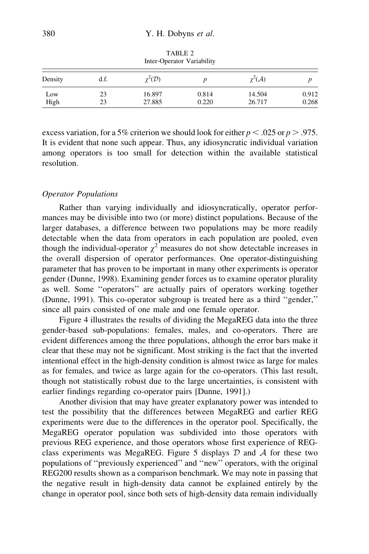| mer-Operator variability |          |                       |                |                       |                |
|--------------------------|----------|-----------------------|----------------|-----------------------|----------------|
| Density                  | d.f.     | $\chi^2(\mathcal{D})$ |                | $\chi^2(\mathcal{A})$ |                |
| Low<br>High              | 23<br>23 | 16.897<br>27.885      | 0.814<br>0.220 | 14.504<br>26.717      | 0.912<br>0.268 |

TABLE 2 Inter-Operator Variability

excess variation, for a 5% criterion we should look for either  $p < .025$  or  $p > .975$ . It is evident that none such appear. Thus, any idiosyncratic individual variation among operators is too small for detection within the available statistical resolution.

## Operator Populations

Rather than varying individually and idiosyncratically, operator performances may be divisible into two (or more) distinct populations. Because of the larger databases, a difference between two populations may be more readily detectable when the data from operators in each population are pooled, even though the individual-operator  $\chi^2$  measures do not show detectable increases in the overall dispersion of operator performances. One operator-distinguishing parameter that has proven to be important in many other experiments is operator gender (Dunne, 1998). Examining gender forces us to examine operator plurality as well. Some ''operators'' are actually pairs of operators working together (Dunne, 1991). This co-operator subgroup is treated here as a third ''gender,'' since all pairs consisted of one male and one female operator.

Figure 4 illustrates the results of dividing the MegaREG data into the three gender-based sub-populations: females, males, and co-operators. There are evident differences among the three populations, although the error bars make it clear that these may not be significant. Most striking is the fact that the inverted intentional effect in the high-density condition is almost twice as large for males as for females, and twice as large again for the co-operators. (This last result, though not statistically robust due to the large uncertainties, is consistent with earlier findings regarding co-operator pairs [Dunne, 1991].)

Another division that may have greater explanatory power was intended to test the possibility that the differences between MegaREG and earlier REG experiments were due to the differences in the operator pool. Specifically, the MegaREG operator population was subdivided into those operators with previous REG experience, and those operators whose first experience of REGclass experiments was MegaREG. Figure 5 displays  $D$  and  $A$  for these two populations of ''previously experienced'' and ''new'' operators, with the original REG200 results shown as a comparison benchmark. We may note in passing that the negative result in high-density data cannot be explained entirely by the change in operator pool, since both sets of high-density data remain individually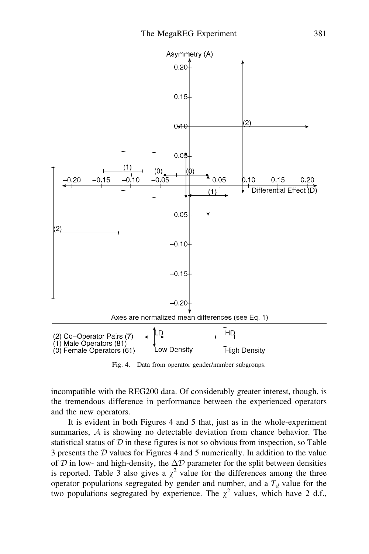

Fig. 4. Data from operator gender/number subgroups.

incompatible with the REG200 data. Of considerably greater interest, though, is the tremendous difference in performance between the experienced operators and the new operators.

It is evident in both Figures 4 and 5 that, just as in the whole-experiment summaries,  $A$  is showing no detectable deviation from chance behavior. The statistical status of  $D$  in these figures is not so obvious from inspection, so Table 3 presents the  $D$  values for Figures 4 and 5 numerically. In addition to the value of  $D$  in low- and high-density, the  $\Delta D$  parameter for the split between densities is reported. Table 3 also gives a  $\chi^2$  value for the differences among the three operator populations segregated by gender and number, and a  $T_d$  value for the two populations segregated by experience. The  $\chi^2$  values, which have 2 d.f.,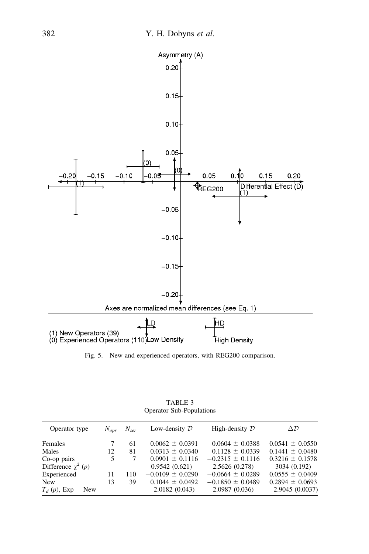

Fig. 5. New and experienced operators, with REG200 comparison.

| TABLE 3                         |  |  |  |  |
|---------------------------------|--|--|--|--|
| <b>Operator Sub-Populations</b> |  |  |  |  |

| Operator type           | $N_{ons}$ | $N_{ser}$ | Low-density $D$      | High-density $D$     | $\Delta \mathcal{D}$ |
|-------------------------|-----------|-----------|----------------------|----------------------|----------------------|
| Females                 |           | 61        | $-0.0062 \pm 0.0391$ | $-0.0604 \pm 0.0388$ | $0.0541 \pm 0.0550$  |
| Males                   | 12        | 81        | $0.0313 \pm 0.0340$  | $-0.1128 \pm 0.0339$ | $0.1441 \pm 0.0480$  |
| Co-op pairs             | .5        | 7         | $0.0901 \pm 0.1116$  | $-0.2315 \pm 0.1116$ | $0.3216 \pm 0.1578$  |
| Difference $\chi^2$ (p) |           |           | 0.9542(0.621)        | 2.5626 (0.278)       | 3034 (0.192)         |
| Experienced             | 11        | 110       | $-0.0109 \pm 0.0290$ | $-0.0664 \pm 0.0289$ | $0.0555 \pm 0.0409$  |
| <b>New</b>              | 13        | 39        | $0.1044 \pm 0.0492$  | $-0.1850 \pm 0.0489$ | $0.2894 \pm 0.0693$  |
| $T_d(p)$ , Exp – New    |           |           | $-2.0182(0.043)$     | 2.0987(0.036)        | $-2.9045(0.0037)$    |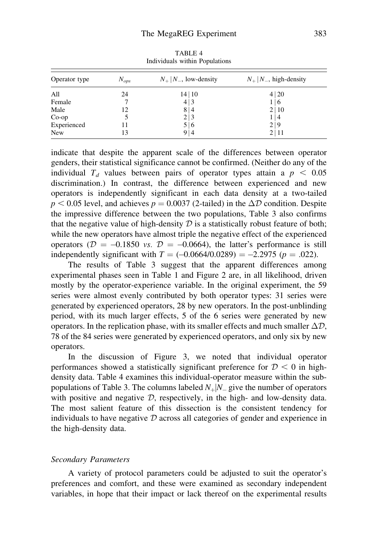| Operator type | $N_{ops}$ | $N_{+}$   $N_{-}$ , low-density | $N_{+} N_{-}$ , high-density |
|---------------|-----------|---------------------------------|------------------------------|
| All           | 24        | 14 10                           | 4 20                         |
| Female        |           | 4 3                             | 1 6                          |
| Male          | 12        | 8 4                             | 2 10                         |
| $Co$ -op      |           | 2 3                             | 114                          |
| Experienced   | 11        | 5 6                             | 2 9                          |
| <b>New</b>    | 13        | 9 4                             | 2 11                         |

TABLE 4 Individuals within Populations

indicate that despite the apparent scale of the differences between operator genders, their statistical significance cannot be confirmed. (Neither do any of the individual  $T_d$  values between pairs of operator types attain a  $p < 0.05$ discrimination.) In contrast, the difference between experienced and new operators is independently significant in each data density at a two-tailed  $p < 0.05$  level, and achieves  $p = 0.0037$  (2-tailed) in the  $\Delta \mathcal{D}$  condition. Despite the impressive difference between the two populations, Table 3 also confirms that the negative value of high-density  $D$  is a statistically robust feature of both; while the new operators have almost triple the negative effect of the experienced operators ( $D = -0.1850$  vs.  $D = -0.0664$ ), the latter's performance is still independently significant with  $T = (-0.0664/0.0289) = -2.2975$  ( $p = .022$ ).

The results of Table 3 suggest that the apparent differences among experimental phases seen in Table 1 and Figure 2 are, in all likelihood, driven mostly by the operator-experience variable. In the original experiment, the 59 series were almost evenly contributed by both operator types: 31 series were generated by experienced operators, 28 by new operators. In the post-unblinding period, with its much larger effects, 5 of the 6 series were generated by new operators. In the replication phase, with its smaller effects and much smaller  $\Delta \mathcal{D}$ , 78 of the 84 series were generated by experienced operators, and only six by new operators.

In the discussion of Figure 3, we noted that individual operator performances showed a statistically significant preference for  $\mathcal{D} < 0$  in highdensity data. Table 4 examines this individual-operator measure within the subpopulations of Table 3. The columns labeled  $N_{+}|N_{-}$  give the number of operators with positive and negative  $D$ , respectively, in the high- and low-density data. The most salient feature of this dissection is the consistent tendency for individuals to have negative  $D$  across all categories of gender and experience in the high-density data.

#### Secondary Parameters

A variety of protocol parameters could be adjusted to suit the operator's preferences and comfort, and these were examined as secondary independent variables, in hope that their impact or lack thereof on the experimental results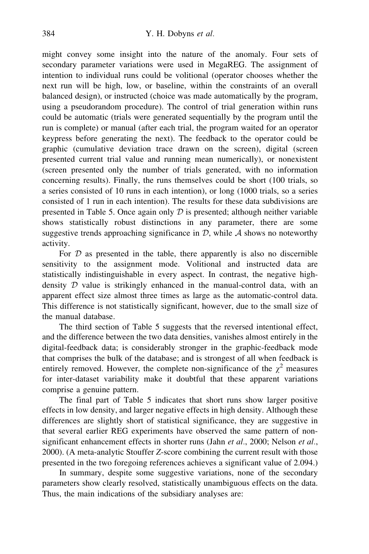might convey some insight into the nature of the anomaly. Four sets of secondary parameter variations were used in MegaREG. The assignment of intention to individual runs could be volitional (operator chooses whether the next run will be high, low, or baseline, within the constraints of an overall balanced design), or instructed (choice was made automatically by the program, using a pseudorandom procedure). The control of trial generation within runs could be automatic (trials were generated sequentially by the program until the run is complete) or manual (after each trial, the program waited for an operator keypress before generating the next). The feedback to the operator could be graphic (cumulative deviation trace drawn on the screen), digital (screen presented current trial value and running mean numerically), or nonexistent (screen presented only the number of trials generated, with no information concerning results). Finally, the runs themselves could be short (100 trials, so a series consisted of 10 runs in each intention), or long (1000 trials, so a series consisted of 1 run in each intention). The results for these data subdivisions are presented in Table 5. Once again only  $D$  is presented; although neither variable shows statistically robust distinctions in any parameter, there are some suggestive trends approaching significance in  $D$ , while  $A$  shows no noteworthy activity.

For  $D$  as presented in the table, there apparently is also no discernible sensitivity to the assignment mode. Volitional and instructed data are statistically indistinguishable in every aspect. In contrast, the negative highdensity  $D$  value is strikingly enhanced in the manual-control data, with an apparent effect size almost three times as large as the automatic-control data. This difference is not statistically significant, however, due to the small size of the manual database.

The third section of Table 5 suggests that the reversed intentional effect, and the difference between the two data densities, vanishes almost entirely in the digital-feedback data; is considerably stronger in the graphic-feedback mode that comprises the bulk of the database; and is strongest of all when feedback is entirely removed. However, the complete non-significance of the  $\chi^2$  measures for inter-dataset variability make it doubtful that these apparent variations comprise a genuine pattern.

The final part of Table 5 indicates that short runs show larger positive effects in low density, and larger negative effects in high density. Although these differences are slightly short of statistical significance, they are suggestive in that several earlier REG experiments have observed the same pattern of nonsignificant enhancement effects in shorter runs (Jahn *et al.*, 2000; Nelson *et al.*, 2000). (A meta-analytic Stouffer Z-score combining the current result with those presented in the two foregoing references achieves a significant value of 2.094.)

In summary, despite some suggestive variations, none of the secondary parameters show clearly resolved, statistically unambiguous effects on the data. Thus, the main indications of the subsidiary analyses are: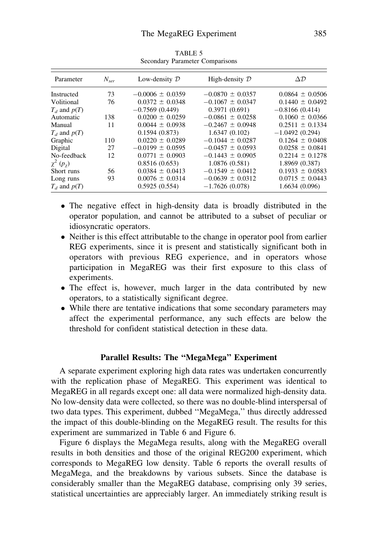| Parameter          | $N_{ser}$ | Low-density $D$      | High-density $D$     | $\Delta \mathcal{D}$ |
|--------------------|-----------|----------------------|----------------------|----------------------|
| Instructed         | 73        | $-0.0006 \pm 0.0359$ | $-0.0870 \pm 0.0357$ | $0.0864 \pm 0.0506$  |
| Volitional         | 76        | $0.0372 \pm 0.0348$  | $-0.1067 \pm 0.0347$ | $0.1440 \pm 0.0492$  |
| $T_d$ and $p(T)$   |           | $-0.7569(0.449)$     | 0.3971(0.691)        | $-0.8166(0.414)$     |
| Automatic          | 138       | $0.0200 \pm 0.0259$  | $-0.0861 \pm 0.0258$ | $0.1060 \pm 0.0366$  |
| Manual             | 11        | $0.0044 \pm 0.0938$  | $-0.2467 \pm 0.0948$ | $0.2511 \pm 0.1334$  |
| $T_d$ and $p(T)$   |           | 0.1594(0.873)        | 1.6347(0.102)        | $-1.0492(0.294)$     |
| Graphic            | 110       | $0.0220 \pm 0.0289$  | $-0.1044 \pm 0.0287$ | $0.1264 \pm 0.0408$  |
| Digital            | 27        | $-0.0199 \pm 0.0595$ | $-0.0457 \pm 0.0593$ | $0.0258 \pm 0.0841$  |
| No-feedback        | 12        | $0.0771 \pm 0.0903$  | $-0.1443 \pm 0.0905$ | $0.2214 \pm 0.1278$  |
| $\chi^2(p_\gamma)$ |           | 0.8516(0.653)        | 1.0876(0.581)        | 1.8969(0.387)        |
| Short runs         | 56        | $0.0384 \pm 0.0413$  | $-0.1549 \pm 0.0412$ | $0.1933 \pm 0.0583$  |
| Long runs          | 93        | $0.0076 \pm 0.0314$  | $-0.0639 \pm 0.0312$ | $0.0715 \pm 0.0443$  |
| $T_d$ and $p(T)$   |           | 0.5925(0.554)        | $-1.7626(0.078)$     | 1.6634(0.096)        |

TABLE 5 Secondary Parameter Comparisons

- The negative effect in high-density data is broadly distributed in the operator population, and cannot be attributed to a subset of peculiar or idiosyncratic operators.
- Neither is this effect attributable to the change in operator pool from earlier REG experiments, since it is present and statistically significant both in operators with previous REG experience, and in operators whose participation in MegaREG was their first exposure to this class of experiments.
- The effect is, however, much larger in the data contributed by new operators, to a statistically significant degree.
- While there are tentative indications that some secondary parameters may affect the experimental performance, any such effects are below the threshold for confident statistical detection in these data.

# Parallel Results: The ''MegaMega'' Experiment

A separate experiment exploring high data rates was undertaken concurrently with the replication phase of MegaREG. This experiment was identical to MegaREG in all regards except one: all data were normalized high-density data. No low-density data were collected, so there was no double-blind interspersal of two data types. This experiment, dubbed ''MegaMega,'' thus directly addressed the impact of this double-blinding on the MegaREG result. The results for this experiment are summarized in Table 6 and Figure 6.

Figure 6 displays the MegaMega results, along with the MegaREG overall results in both densities and those of the original REG200 experiment, which corresponds to MegaREG low density. Table 6 reports the overall results of MegaMega, and the breakdowns by various subsets. Since the database is considerably smaller than the MegaREG database, comprising only 39 series, statistical uncertainties are appreciably larger. An immediately striking result is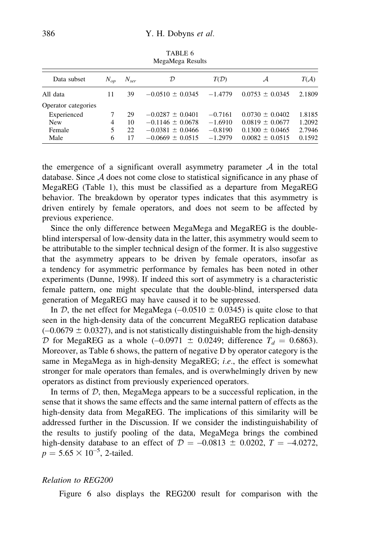| 1.10                |          |                  |                      |           |                     |        |
|---------------------|----------|------------------|----------------------|-----------|---------------------|--------|
| Data subset         | $N_{op}$ | $N_{\text{ser}}$ | D                    | T(D)      | А                   | T(A)   |
| All data            | 11       | 39               | $-0.0510 \pm 0.0345$ | $-1.4779$ | $0.0753 \pm 0.0345$ | 2.1809 |
| Operator categories |          |                  |                      |           |                     |        |
| Experienced         |          | 29               | $-0.0287 \pm 0.0401$ | $-0.7161$ | $0.0730 \pm 0.0402$ | 1.8185 |
| <b>New</b>          | 4        | 10               | $-0.1146 \pm 0.0678$ | $-1.6910$ | $0.0819 \pm 0.0677$ | 1.2092 |
| Female              |          | 22               | $-0.0381 \pm 0.0466$ | $-0.8190$ | $0.1300 \pm 0.0465$ | 2.7946 |
| Male                | 6        | 17               | $-0.0669 \pm 0.0515$ | $-1.2979$ | $0.0082 \pm 0.0515$ | 0.1592 |

TABLE 6 MegaMega Results

the emergence of a significant overall asymmetry parameter  $A$  in the total database. Since A does not come close to statistical significance in any phase of MegaREG (Table 1), this must be classified as a departure from MegaREG behavior. The breakdown by operator types indicates that this asymmetry is driven entirely by female operators, and does not seem to be affected by previous experience.

Since the only difference between MegaMega and MegaREG is the doubleblind interspersal of low-density data in the latter, this asymmetry would seem to be attributable to the simpler technical design of the former. It is also suggestive that the asymmetry appears to be driven by female operators, insofar as a tendency for asymmetric performance by females has been noted in other experiments (Dunne, 1998). If indeed this sort of asymmetry is a characteristic female pattern, one might speculate that the double-blind, interspersed data generation of MegaREG may have caused it to be suppressed.

In D, the net effect for MegaMega  $(-0.0510 \pm 0.0345)$  is quite close to that seen in the high-density data of the concurrent MegaREG replication database  $(-0.0679 \pm 0.0327)$ , and is not statistically distinguishable from the high-density D for MegaREG as a whole  $(-0.0971 \pm 0.0249)$ ; difference  $T_d = 0.6863$ ). Moreover, as Table 6 shows, the pattern of negative D by operator category is the same in MegaMega as in high-density MegaREG; i.e., the effect is somewhat stronger for male operators than females, and is overwhelmingly driven by new operators as distinct from previously experienced operators.

In terms of  $D$ , then, MegaMega appears to be a successful replication, in the sense that it shows the same effects and the same internal pattern of effects as the high-density data from MegaREG. The implications of this similarity will be addressed further in the Discussion. If we consider the indistinguishability of the results to justify pooling of the data, MegaMega brings the combined high-density database to an effect of  $\mathcal{D} = -0.0813 \pm 0.0202$ ,  $T = -4.0272$ ,  $p = 5.65 \times 10^{-5}$ , 2-tailed.

#### Relation to REG200

Figure 6 also displays the REG200 result for comparison with the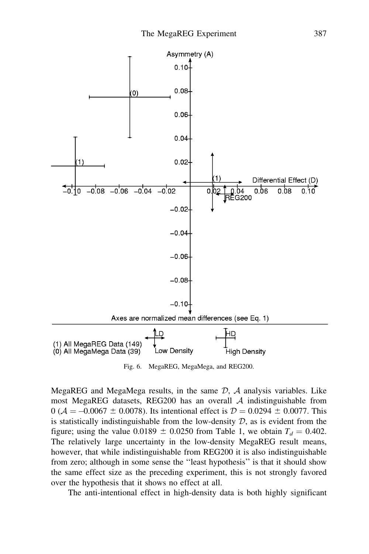

Fig. 6. MegaREG, MegaMega, and REG200.

MegaREG and MegaMega results, in the same  $D$ ,  $A$  analysis variables. Like most MegaREG datasets, REG200 has an overall  $A$  indistinguishable from 0 ( $A = -0.0067 \pm 0.0078$ ). Its intentional effect is  $D = 0.0294 \pm 0.0077$ . This is statistically indistinguishable from the low-density  $D$ , as is evident from the figure; using the value 0.0189  $\pm$  0.0250 from Table 1, we obtain  $T_d = 0.402$ . The relatively large uncertainty in the low-density MegaREG result means, however, that while indistinguishable from REG200 it is also indistinguishable from zero; although in some sense the ''least hypothesis'' is that it should show the same effect size as the preceding experiment, this is not strongly favored over the hypothesis that it shows no effect at all.

The anti-intentional effect in high-density data is both highly significant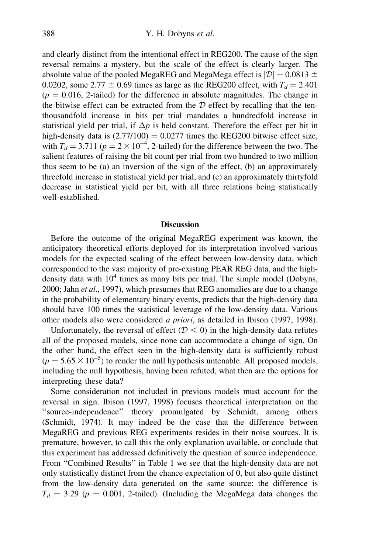and clearly distinct from the intentional effect in REG200. The cause of the sign reversal remains a mystery, but the scale of the effect is clearly larger. The absolute value of the pooled MegaREG and MegaMega effect is  $|\mathcal{D}| = 0.0813 \pm$ 0.0202, some 2.77  $\pm$  0.69 times as large as the REG200 effect, with  $T<sub>d</sub> = 2.401$  $(p = 0.016, 2$ -tailed) for the difference in absolute magnitudes. The change in the bitwise effect can be extracted from the  $D$  effect by recalling that the tenthousandfold increase in bits per trial mandates a hundredfold increase in statistical yield per trial, if  $\Delta p$  is held constant. Therefore the effect per bit in high-density data is  $(2.77/100) = 0.0277$  times the REG200 bitwise effect size, with  $T_d = 3.711$  ( $p = 2 \times 10^{-4}$ , 2-tailed) for the difference between the two. The salient features of raising the bit count per trial from two hundred to two million thus seem to be (a) an inversion of the sign of the effect, (b) an approximately threefold increase in statistical yield per trial, and (c) an approximately thirtyfold decrease in statistical yield per bit, with all three relations being statistically well-established.

# **Discussion**

Before the outcome of the original MegaREG experiment was known, the anticipatory theoretical efforts deployed for its interpretation involved various models for the expected scaling of the effect between low-density data, which corresponded to the vast majority of pre-existing PEAR REG data, and the highdensity data with  $10^4$  times as many bits per trial. The simple model (Dobyns, 2000; Jahn et al., 1997), which presumes that REG anomalies are due to a change in the probability of elementary binary events, predicts that the high-density data should have 100 times the statistical leverage of the low-density data. Various other models also were considered a priori, as detailed in Ibison (1997, 1998).

Unfortunately, the reversal of effect ( $\mathcal{D} < 0$ ) in the high-density data refutes all of the proposed models, since none can accommodate a change of sign. On the other hand, the effect seen in the high-density data is sufficiently robust  $(p = 5.65 \times 10^{-5})$  to render the null hypothesis untenable. All proposed models, including the null hypothesis, having been refuted, what then are the options for interpreting these data?

Some consideration not included in previous models must account for the reversal in sign. Ibison (1997, 1998) focuses theoretical interpretation on the ''source-independence'' theory promulgated by Schmidt, among others (Schmidt, 1974). It may indeed be the case that the difference between MegaREG and previous REG experiments resides in their noise sources. It is premature, however, to call this the only explanation available, or conclude that this experiment has addressed definitively the question of source independence. From ''Combined Results'' in Table 1 we see that the high-density data are not only statistically distinct from the chance expectation of 0, but also quite distinct from the low-density data generated on the same source: the difference is  $T_d = 3.29$  ( $p = 0.001$ , 2-tailed). (Including the MegaMega data changes the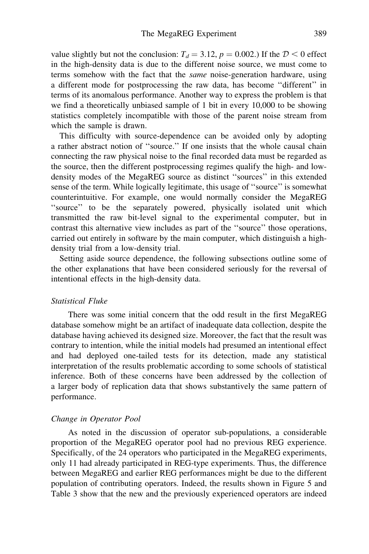value slightly but not the conclusion:  $T_d = 3.12$ ,  $p = 0.002$ .) If the  $D < 0$  effect in the high-density data is due to the different noise source, we must come to terms somehow with the fact that the same noise-generation hardware, using a different mode for postprocessing the raw data, has become ''different'' in terms of its anomalous performance. Another way to express the problem is that we find a theoretically unbiased sample of 1 bit in every 10,000 to be showing statistics completely incompatible with those of the parent noise stream from which the sample is drawn.

This difficulty with source-dependence can be avoided only by adopting a rather abstract notion of ''source.'' If one insists that the whole causal chain connecting the raw physical noise to the final recorded data must be regarded as the source, then the different postprocessing regimes qualify the high- and lowdensity modes of the MegaREG source as distinct ''sources'' in this extended sense of the term. While logically legitimate, this usage of ''source'' is somewhat counterintuitive. For example, one would normally consider the MegaREG ''source'' to be the separately powered, physically isolated unit which transmitted the raw bit-level signal to the experimental computer, but in contrast this alternative view includes as part of the ''source'' those operations, carried out entirely in software by the main computer, which distinguish a highdensity trial from a low-density trial.

Setting aside source dependence, the following subsections outline some of the other explanations that have been considered seriously for the reversal of intentional effects in the high-density data.

#### Statistical Fluke

There was some initial concern that the odd result in the first MegaREG database somehow might be an artifact of inadequate data collection, despite the database having achieved its designed size. Moreover, the fact that the result was contrary to intention, while the initial models had presumed an intentional effect and had deployed one-tailed tests for its detection, made any statistical interpretation of the results problematic according to some schools of statistical inference. Both of these concerns have been addressed by the collection of a larger body of replication data that shows substantively the same pattern of performance.

#### Change in Operator Pool

As noted in the discussion of operator sub-populations, a considerable proportion of the MegaREG operator pool had no previous REG experience. Specifically, of the 24 operators who participated in the MegaREG experiments, only 11 had already participated in REG-type experiments. Thus, the difference between MegaREG and earlier REG performances might be due to the different population of contributing operators. Indeed, the results shown in Figure 5 and Table 3 show that the new and the previously experienced operators are indeed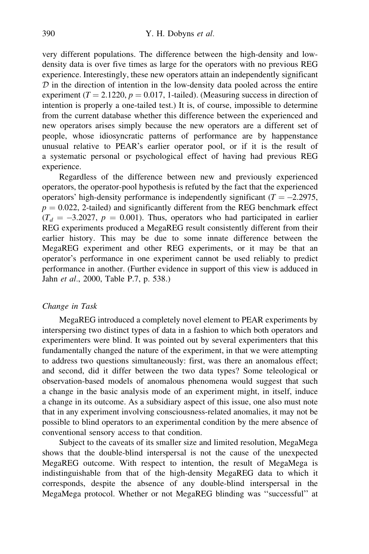very different populations. The difference between the high-density and lowdensity data is over five times as large for the operators with no previous REG experience. Interestingly, these new operators attain an independently significant  $D$  in the direction of intention in the low-density data pooled across the entire experiment ( $T = 2.1220$ ,  $p = 0.017$ , 1-tailed). (Measuring success in direction of intention is properly a one-tailed test.) It is, of course, impossible to determine from the current database whether this difference between the experienced and new operators arises simply because the new operators are a different set of people, whose idiosyncratic patterns of performance are by happenstance unusual relative to PEAR's earlier operator pool, or if it is the result of a systematic personal or psychological effect of having had previous REG experience.

Regardless of the difference between new and previously experienced operators, the operator-pool hypothesis is refuted by the fact that the experienced operators' high-density performance is independently significant  $(T = -2.2975$ ,  $p = 0.022$ , 2-tailed) and significantly different from the REG benchmark effect  $(T_d = -3.2027, p = 0.001)$ . Thus, operators who had participated in earlier REG experiments produced a MegaREG result consistently different from their earlier history. This may be due to some innate difference between the MegaREG experiment and other REG experiments, or it may be that an operator's performance in one experiment cannot be used reliably to predict performance in another. (Further evidence in support of this view is adduced in Jahn et al., 2000, Table P.7, p. 538.)

#### Change in Task

MegaREG introduced a completely novel element to PEAR experiments by interspersing two distinct types of data in a fashion to which both operators and experimenters were blind. It was pointed out by several experimenters that this fundamentally changed the nature of the experiment, in that we were attempting to address two questions simultaneously: first, was there an anomalous effect; and second, did it differ between the two data types? Some teleological or observation-based models of anomalous phenomena would suggest that such a change in the basic analysis mode of an experiment might, in itself, induce a change in its outcome. As a subsidiary aspect of this issue, one also must note that in any experiment involving consciousness-related anomalies, it may not be possible to blind operators to an experimental condition by the mere absence of conventional sensory access to that condition.

Subject to the caveats of its smaller size and limited resolution, MegaMega shows that the double-blind interspersal is not the cause of the unexpected MegaREG outcome. With respect to intention, the result of MegaMega is indistinguishable from that of the high-density MegaREG data to which it corresponds, despite the absence of any double-blind interspersal in the MegaMega protocol. Whether or not MegaREG blinding was ''successful'' at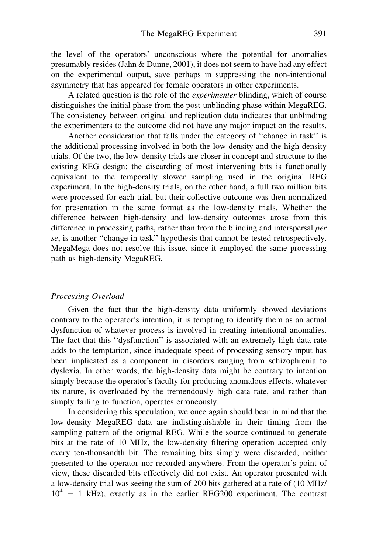the level of the operators' unconscious where the potential for anomalies presumably resides (Jahn & Dunne, 2001), it does not seem to have had any effect on the experimental output, save perhaps in suppressing the non-intentional asymmetry that has appeared for female operators in other experiments.

A related question is the role of the experimenter blinding, which of course distinguishes the initial phase from the post-unblinding phase within MegaREG. The consistency between original and replication data indicates that unblinding the experimenters to the outcome did not have any major impact on the results.

Another consideration that falls under the category of ''change in task'' is the additional processing involved in both the low-density and the high-density trials. Of the two, the low-density trials are closer in concept and structure to the existing REG design: the discarding of most intervening bits is functionally equivalent to the temporally slower sampling used in the original REG experiment. In the high-density trials, on the other hand, a full two million bits were processed for each trial, but their collective outcome was then normalized for presentation in the same format as the low-density trials. Whether the difference between high-density and low-density outcomes arose from this difference in processing paths, rather than from the blinding and interspersal per se, is another ''change in task'' hypothesis that cannot be tested retrospectively. MegaMega does not resolve this issue, since it employed the same processing path as high-density MegaREG.

# Processing Overload

Given the fact that the high-density data uniformly showed deviations contrary to the operator's intention, it is tempting to identify them as an actual dysfunction of whatever process is involved in creating intentional anomalies. The fact that this ''dysfunction'' is associated with an extremely high data rate adds to the temptation, since inadequate speed of processing sensory input has been implicated as a component in disorders ranging from schizophrenia to dyslexia. In other words, the high-density data might be contrary to intention simply because the operator's faculty for producing anomalous effects, whatever its nature, is overloaded by the tremendously high data rate, and rather than simply failing to function, operates erroneously.

In considering this speculation, we once again should bear in mind that the low-density MegaREG data are indistinguishable in their timing from the sampling pattern of the original REG. While the source continued to generate bits at the rate of 10 MHz, the low-density filtering operation accepted only every ten-thousandth bit. The remaining bits simply were discarded, neither presented to the operator nor recorded anywhere. From the operator's point of view, these discarded bits effectively did not exist. An operator presented with a low-density trial was seeing the sum of 200 bits gathered at a rate of (10 MHz/  $10^4 = 1$  kHz), exactly as in the earlier REG200 experiment. The contrast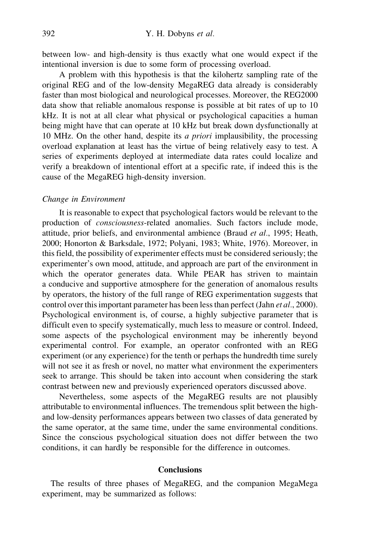between low- and high-density is thus exactly what one would expect if the intentional inversion is due to some form of processing overload.

A problem with this hypothesis is that the kilohertz sampling rate of the original REG and of the low-density MegaREG data already is considerably faster than most biological and neurological processes. Moreover, the REG2000 data show that reliable anomalous response is possible at bit rates of up to 10 kHz. It is not at all clear what physical or psychological capacities a human being might have that can operate at 10 kHz but break down dysfunctionally at 10 MHz. On the other hand, despite its a priori implausibility, the processing overload explanation at least has the virtue of being relatively easy to test. A series of experiments deployed at intermediate data rates could localize and verify a breakdown of intentional effort at a specific rate, if indeed this is the cause of the MegaREG high-density inversion.

#### Change in Environment

It is reasonable to expect that psychological factors would be relevant to the production of consciousness-related anomalies. Such factors include mode, attitude, prior beliefs, and environmental ambience (Braud et al., 1995; Heath, 2000; Honorton & Barksdale, 1972; Polyani, 1983; White, 1976). Moreover, in this field, the possibility of experimenter effects must be considered seriously; the experimenter's own mood, attitude, and approach are part of the environment in which the operator generates data. While PEAR has striven to maintain a conducive and supportive atmosphere for the generation of anomalous results by operators, the history of the full range of REG experimentation suggests that control over this important parameter has been less than perfect (Jahn *et al.*, 2000). Psychological environment is, of course, a highly subjective parameter that is difficult even to specify systematically, much less to measure or control. Indeed, some aspects of the psychological environment may be inherently beyond experimental control. For example, an operator confronted with an REG experiment (or any experience) for the tenth or perhaps the hundredth time surely will not see it as fresh or novel, no matter what environment the experimenters seek to arrange. This should be taken into account when considering the stark contrast between new and previously experienced operators discussed above.

Nevertheless, some aspects of the MegaREG results are not plausibly attributable to environmental influences. The tremendous split between the highand low-density performances appears between two classes of data generated by the same operator, at the same time, under the same environmental conditions. Since the conscious psychological situation does not differ between the two conditions, it can hardly be responsible for the difference in outcomes.

# **Conclusions**

The results of three phases of MegaREG, and the companion MegaMega experiment, may be summarized as follows: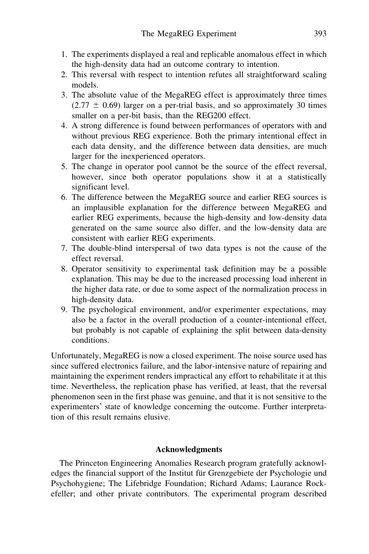- 1. The experiments displayed a real and replicable anomalous effect in which the high-density data had an outcome contrary to intention.
- 2. This reversal with respect to intention refutes all straightforward scaling models.
- 3. The absolute value of the MegaREG effect is approximately three times  $(2.77 \pm 0.69)$  larger on a per-trial basis, and so approximately 30 times smaller on a per-bit basis, than the REG200 effect.
- 4. A strong difference is found between performances of operators with and without previous REG experience. Both the primary intentional effect in each data density, and the difference between data densities, are much larger for the inexperienced operators.
- 5. The change in operator pool cannot be the source of the effect reversal, however, since both operator populations show it at a statistically significant level.
- 6. The difference between the MegaREG source and earlier REG sources is an implausible explanation for the difference between MegaREG and earlier REG experiments, because the high-density and low-density data generated on the same source also differ, and the low-density data are consistent with earlier REG experiments.
- 7. The double-blind interspersal of two data types is not the cause of the effect reversal.
- 8. Operator sensitivity to experimental task definition may be a possible explanation. This may be due to the increased processing load inherent in the higher data rate, or due to some aspect of the normalization process in high-density data.
- 9. The psychological environment, and/or experimenter expectations, may also be a factor in the overall production of a counter-intentional effect, but probably is not capable of explaining the split between data-density conditions.

Unfortunately, MegaREG is now a closed experiment. The noise source used has since suffered electronics failure, and the labor-intensive nature of repairing and maintaining the experiment renders impractical any effort to rehabilitate it at this time. Nevertheless, the replication phase has verified, at least, that the reversal phenomenon seen in the first phase was genuine, and that it is not sensitive to the experimenters' state of knowledge concerning the outcome. Further interpretation of this result remains elusive.

# Acknowledgments

The Princeton Engineering Anomalies Research program gratefully acknowledges the financial support of the Institut für Grenzgebiete der Psychologie und Psychohygiene; The Lifebridge Foundation; Richard Adams; Laurance Rockefeller; and other private contributors. The experimental program described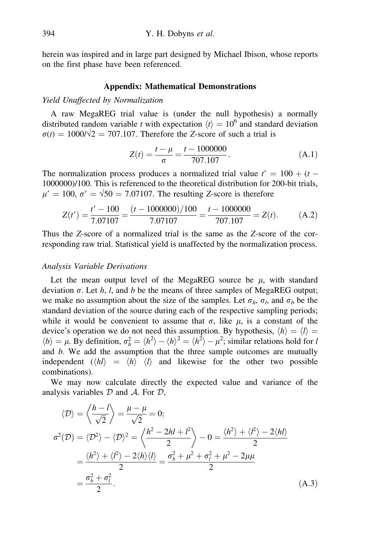herein was inspired and in large part designed by Michael Ibison, whose reports on the first phase have been referenced.

#### Appendix: Mathematical Demonstrations

#### Yield Unaffected by Normalization

A raw MegaREG trial value is (under the null hypothesis) a normally distributed random variable t with expectation  $\langle t \rangle = 10^6$  and standard deviation  $\sigma(t) = 1000/\sqrt{2} = 707.107$ . Therefore the Z-score of such a trial is

$$
Z(t) = \frac{t - \mu}{\sigma} = \frac{t - 1000000}{707.107}.
$$
 (A.1)

The normalization process produces a normalized trial value  $t' = 100 + (t -$ 1000000)/100. This is referenced to the theoretical distribution for 200-bit trials,  $\mu' = 100$ ,  $\sigma' = \sqrt{50} = 7.07107$ . The resulting Z-score is therefore

$$
Z(t') = \frac{t'-100}{7.07107} = \frac{(t-1000000)/100}{7.07107} = \frac{t-1000000}{707.107} = Z(t).
$$
 (A.2)

Thus the Z-score of a normalized trial is the same as the Z-score of the corresponding raw trial. Statistical yield is unaffected by the normalization process.

#### Analysis Variable Derivations

Let the mean output level of the MegaREG source be  $\mu$ , with standard deviation  $\sigma$ . Let h, l, and b be the means of three samples of MegaREG output; we make no assumption about the size of the samples. Let  $\sigma_h$ ,  $\sigma_l$ , and  $\sigma_b$  be the standard deviation of the source during each of the respective sampling periods; while it would be convenient to assume that  $\sigma$ , like  $\mu$ , is a constant of the device's operation we do not need this assumption. By hypothesis,  $\langle h \rangle = \langle l \rangle$  $\langle b \rangle = \mu$ . By definition,  $\sigma_h^2 = \langle h^2 \rangle - \langle h \rangle^2 = \langle h^2 \rangle - \mu^2$ ; similar relations hold for l and b. We add the assumption that the three sample outcomes are mutually independent  $(\langle hl \rangle = \langle h \rangle \langle l \rangle)$  and likewise for the other two possible combinations).

We may now calculate directly the expected value and variance of the analysis variables  $D$  and  $A$ . For  $D$ ,

$$
\langle \mathcal{D} \rangle = \left\langle \frac{h - l}{\sqrt{2}} \right\rangle = \frac{\mu - \mu}{\sqrt{2}} = 0; \n\sigma^2(\mathcal{D}) = \langle \mathcal{D}^2 \rangle - \langle \mathcal{D} \rangle^2 = \left\langle \frac{h^2 - 2hl + l^2}{2} \right\rangle - 0 = \frac{\langle h^2 \rangle + \langle l^2 \rangle - 2\langle hl \rangle}{2} \n= \frac{\langle h^2 \rangle + \langle l^2 \rangle - 2\langle h \rangle \langle l \rangle}{2} = \frac{\sigma_h^2 + \mu^2 + \sigma_l^2 + \mu^2 - 2\mu\mu}{2} \n= \frac{\sigma_h^2 + \sigma_l^2}{2}.
$$
\n(A.3)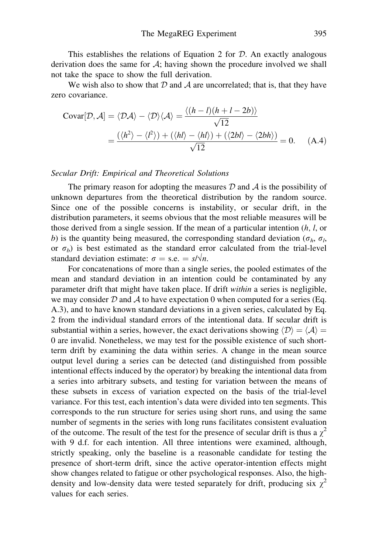This establishes the relations of Equation 2 for  $D$ . An exactly analogous derivation does the same for  $A$ ; having shown the procedure involved we shall not take the space to show the full derivation.

We wish also to show that  $D$  and  $A$  are uncorrelated; that is, that they have zero covariance.

$$
Covar[\mathcal{D}, \mathcal{A}] = \langle \mathcal{D}\mathcal{A} \rangle - \langle \mathcal{D} \rangle \langle \mathcal{A} \rangle = \frac{\langle (h-l)(h+l-2b) \rangle}{\sqrt{12}}
$$

$$
= \frac{(\langle h^2 \rangle - \langle l^2 \rangle) + (\langle hl \rangle - \langle hl \rangle) + (\langle 2bl \rangle - \langle 2bh \rangle)}{\sqrt{12}} = 0. \quad (A.4)
$$

#### Secular Drift: Empirical and Theoretical Solutions

The primary reason for adopting the measures  $D$  and  $A$  is the possibility of unknown departures from the theoretical distribution by the random source. Since one of the possible concerns is instability, or secular drift, in the distribution parameters, it seems obvious that the most reliable measures will be those derived from a single session. If the mean of a particular intention  $(h, l, or)$ b) is the quantity being measured, the corresponding standard deviation ( $\sigma_h$ ,  $\sigma_l$ , or  $\sigma_b$ ) is best estimated as the standard error calculated from the trial-level standard deviation estimate:  $\sigma =$  s.e.  $= s/\sqrt{n}$ .

For concatenations of more than a single series, the pooled estimates of the mean and standard deviation in an intention could be contaminated by any parameter drift that might have taken place. If drift within a series is negligible, we may consider D and A to have expectation 0 when computed for a series (Eq. A.3), and to have known standard deviations in a given series, calculated by Eq. 2 from the individual standard errors of the intentional data. If secular drift is substantial within a series, however, the exact derivations showing  $\langle D \rangle = \langle A \rangle =$ 0 are invalid. Nonetheless, we may test for the possible existence of such shortterm drift by examining the data within series. A change in the mean source output level during a series can be detected (and distinguished from possible intentional effects induced by the operator) by breaking the intentional data from a series into arbitrary subsets, and testing for variation between the means of these subsets in excess of variation expected on the basis of the trial-level variance. For this test, each intention's data were divided into ten segments. This corresponds to the run structure for series using short runs, and using the same number of segments in the series with long runs facilitates consistent evaluation of the outcome. The result of the test for the presence of secular drift is thus a  $\chi^2$ with 9 d.f. for each intention. All three intentions were examined, although, strictly speaking, only the baseline is a reasonable candidate for testing the presence of short-term drift, since the active operator-intention effects might show changes related to fatigue or other psychological responses. Also, the highdensity and low-density data were tested separately for drift, producing six  $\chi^2$ values for each series.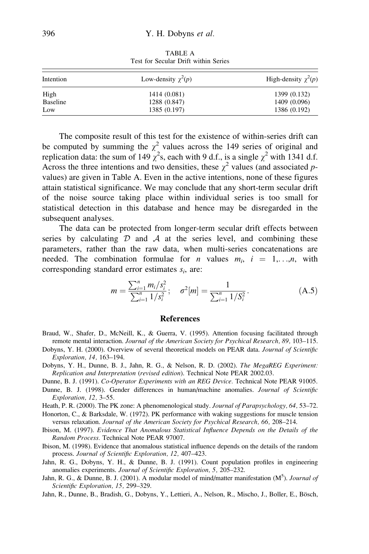| Intention | Low-density $\gamma^2(p)$ | High-density $\chi^2(p)$ |
|-----------|---------------------------|--------------------------|
| High      | 1414 (0.081)              | 1399 (0.132)             |
| Baseline  | 1288 (0.847)              | 1409 (0.096)             |
| Low       | 1385 (0.197)              | 1386 (0.192)             |

TABLE A Test for Secular Drift within Series

The composite result of this test for the existence of within-series drift can be computed by summing the  $\chi^2$  values across the 149 series of original and replication data: the sum of 149  $\chi^2$ s, each with 9 d.f., is a single  $\chi^2$  with 1341 d.f. Across the three intentions and two densities, these  $\chi^2$  values (and associated pvalues) are given in Table A. Even in the active intentions, none of these figures attain statistical significance. We may conclude that any short-term secular drift of the noise source taking place within individual series is too small for statistical detection in this database and hence may be disregarded in the subsequent analyses.

The data can be protected from longer-term secular drift effects between series by calculating  $D$  and  $A$  at the series level, and combining these parameters, rather than the raw data, when multi-series concatenations are needed. The combination formulae for *n* values  $m_i$ ,  $i = 1,...,n$ , with corresponding standard error estimates  $s_i$ , are:

$$
m = \frac{\sum_{i=1}^{n} m_i / s_i^2}{\sum_{i=1}^{n} 1 / s_i^2}; \quad \sigma^2[m] = \frac{1}{\sum_{i=1}^{n} 1 / S_i^2}.
$$
 (A.5)

#### References

- Dobyns, Y. H. (2000). Overview of several theoretical models on PEAR data. Journal of Scientific Exploration, 14, 163–194.
- Dobyns, Y. H., Dunne, B. J., Jahn, R. G., & Nelson, R. D. (2002). The MegaREG Experiment: Replication and Interpretation (revised edition). Technical Note PEAR 2002.03.
- Dunne, B. J. (1991). Co-Operator Experiments with an REG Device. Technical Note PEAR 91005.
- Dunne, B. J. (1998). Gender differences in human/machine anomalies. Journal of Scientific Exploration, 12, 3–55.
- Heath, P. R. (2000). The PK zone: A phenomenological study. Journal of Parapsychology, 64, 53–72.
- Honorton, C., & Barksdale, W. (1972). PK performance with waking suggestions for muscle tension versus relaxation. Journal of the American Society for Psychical Research, 66, 208–214.
- Ibison, M. (1997). Evidence That Anomalous Statistical Influence Depends on the Details of the Random Process. Technical Note PEAR 97007.
- Ibison, M. (1998). Evidence that anomalous statistical influence depends on the details of the random process. Journal of Scientific Exploration, 12, 407–423.
- Jahn, R. G., Dobyns, Y. H., & Dunne, B. J. (1991). Count population profiles in engineering anomalies experiments. Journal of Scientific Exploration, 5, 205–232.
- Jahn, R. G., & Dunne, B. J. (2001). A modular model of mind/matter manifestation  $(M^5)$ . Journal of Scientific Exploration, 15, 299–329.
- Jahn, R., Dunne, B., Bradish, G., Dobyns, Y., Lettieri, A., Nelson, R., Mischo, J., Boller, E., Bösch,

Braud, W., Shafer, D., McNeill, K., & Guerra, V. (1995). Attention focusing facilitated through remote mental interaction. Journal of the American Society for Psychical Research, 89, 103-115.